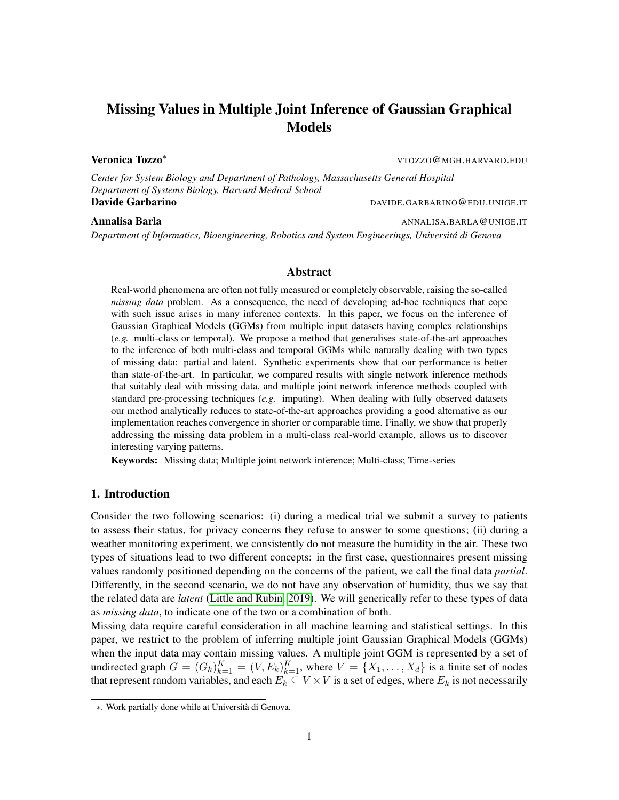# Missing Values in Multiple Joint Inference of Gaussian Graphical Models

Veronica Tozzo<sup>∗</sup> VTOZZO@MGH.HARVARD.EDU

*Center for System Biology and Department of Pathology, Massachusetts General Hospital Department of Systems Biology, Harvard Medical School* Davide Garbarino **DAVIDE.GARBARINO@EDU.UNIGE.IT** 

### Annalisa Barla Annalisa Barla Annalisa Barla Annalisa.BARLA ANNALISA.BARLA QUNIGE.IT

*Department of Informatics, Bioengineering, Robotics and System Engineerings, Universita di Genova ´*

# Abstract

Real-world phenomena are often not fully measured or completely observable, raising the so-called *missing data* problem. As a consequence, the need of developing ad-hoc techniques that cope with such issue arises in many inference contexts. In this paper, we focus on the inference of Gaussian Graphical Models (GGMs) from multiple input datasets having complex relationships (*e.g.* multi-class or temporal). We propose a method that generalises state-of-the-art approaches to the inference of both multi-class and temporal GGMs while naturally dealing with two types of missing data: partial and latent. Synthetic experiments show that our performance is better than state-of-the-art. In particular, we compared results with single network inference methods that suitably deal with missing data, and multiple joint network inference methods coupled with standard pre-processing techniques (*e.g.* imputing). When dealing with fully observed datasets our method analytically reduces to state-of-the-art approaches providing a good alternative as our implementation reaches convergence in shorter or comparable time. Finally, we show that properly addressing the missing data problem in a multi-class real-world example, allows us to discover interesting varying patterns.

Keywords: Missing data; Multiple joint network inference; Multi-class; Time-series

# 1. Introduction

Consider the two following scenarios: (i) during a medical trial we submit a survey to patients to assess their status, for privacy concerns they refuse to answer to some questions; (ii) during a weather monitoring experiment, we consistently do not measure the humidity in the air. These two types of situations lead to two different concepts: in the first case, questionnaires present missing values randomly positioned depending on the concerns of the patient, we call the final data *partial*. Differently, in the second scenario, we do not have any observation of humidity, thus we say that the related data are *latent* [\(Little and Rubin, 2019\)](#page-11-0). We will generically refer to these types of data as *missing data*, to indicate one of the two or a combination of both.

Missing data require careful consideration in all machine learning and statistical settings. In this paper, we restrict to the problem of inferring multiple joint Gaussian Graphical Models (GGMs) when the input data may contain missing values. A multiple joint GGM is represented by a set of undirected graph  $G = (G_k)_{k=1}^K = (V, E_k)_{k=1}^K$ , where  $V = \{X_1, \ldots, X_d\}$  is a finite set of nodes that represent random variables, and each  $E_k \subseteq V \times V$  is a set of edges, where  $E_k$  is not necessarily

<sup>∗</sup>. Work partially done while at Universita di Genova. `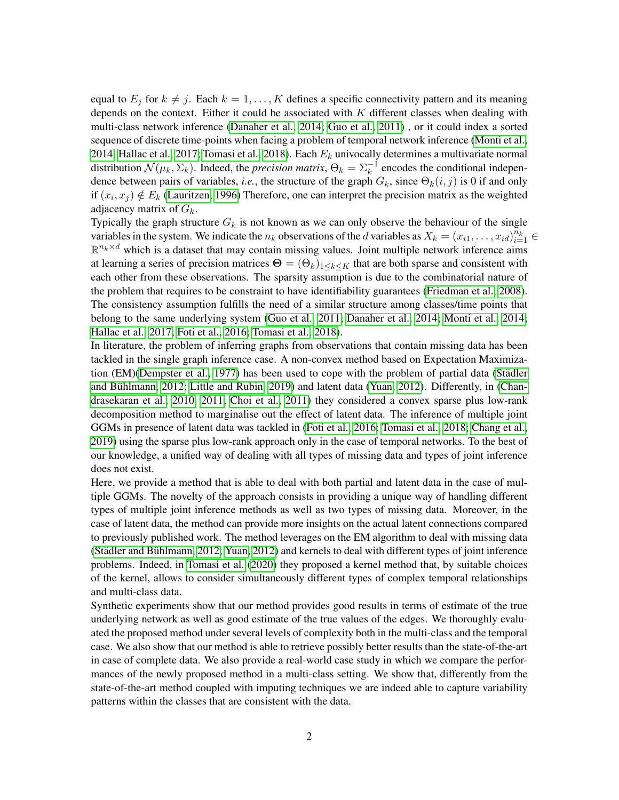equal to  $E_j$  for  $k \neq j$ . Each  $k = 1, ..., K$  defines a specific connectivity pattern and its meaning depends on the context. Either it could be associated with  $K$  different classes when dealing with multi-class network inference [\(Danaher et al., 2014;](#page-10-0) [Guo et al., 2011\)](#page-11-1) , or it could index a sorted sequence of discrete time-points when facing a problem of temporal network inference [\(Monti et al.,](#page-11-2) [2014;](#page-11-2) [Hallac et al., 2017;](#page-11-3) [Tomasi et al., 2018\)](#page-11-4). Each  $E_k$  univocally determines a multivariate normal distribution  $\mathcal{N}(\mu_k, \Sigma_k)$ . Indeed, the *precision matrix*,  $\Theta_k = \Sigma_k^{-1}$  encodes the conditional independence between pairs of variables, *i.e.*, the structure of the graph  $G_k$ , since  $\Theta_k(i, j)$  is 0 if and only if  $(x_i, x_j) \notin E_k$  [\(Lauritzen, 1996\)](#page-11-5) Therefore, one can interpret the precision matrix as the weighted adjacency matrix of  $G_k$ .

Typically the graph structure  $G_k$  is not known as we can only observe the behaviour of the single variables in the system. We indicate the  $n_k$  observations of the d variables as  $X_k = (x_{i1}, \ldots, x_{id})_{i=1}^{\overline{n}_k}$  $\mathbb{R}^{n_k \times d}$  which is a dataset that may contain missing values. Joint multiple network inference aims at learning a series of precision matrices  $\Theta = (\Theta_k)_{1 \leq k \leq K}$  that are both sparse and consistent with each other from these observations. The sparsity assumption is due to the combinatorial nature of the problem that requires to be constraint to have identifiability guarantees [\(Friedman et al., 2008\)](#page-11-6). The consistency assumption fulfills the need of a similar structure among classes/time points that belong to the same underlying system [\(Guo et al., 2011;](#page-11-1) [Danaher et al., 2014;](#page-10-0) [Monti et al., 2014;](#page-11-2) [Hallac et al., 2017;](#page-11-3) [Foti et al., 2016;](#page-11-7) [Tomasi et al., 2018\)](#page-11-4).

In literature, the problem of inferring graphs from observations that contain missing data has been tackled in the single graph inference case. A non-convex method based on Expectation Maximization (EM)[\(Dempster et al., 1977\)](#page-11-8) has been used to cope with the problem of partial data [\(Stadler](#page-11-9) ¨ [and Buhlmann, 2012;](#page-11-9) [Little and Rubin, 2019\)](#page-11-0) and latent data [\(Yuan, 2012\)](#page-11-10). Differently, in [\(Chan-](#page-10-1) ¨ [drasekaran et al., 2010,](#page-10-1) [2011;](#page-10-2) [Choi et al., 2011\)](#page-10-3) they considered a convex sparse plus low-rank decomposition method to marginalise out the effect of latent data. The inference of multiple joint GGMs in presence of latent data was tackled in [\(Foti et al., 2016;](#page-11-7) [Tomasi et al., 2018;](#page-11-4) [Chang et al.,](#page-10-4) [2019\)](#page-10-4) using the sparse plus low-rank approach only in the case of temporal networks. To the best of our knowledge, a unified way of dealing with all types of missing data and types of joint inference does not exist.

Here, we provide a method that is able to deal with both partial and latent data in the case of multiple GGMs. The novelty of the approach consists in providing a unique way of handling different types of multiple joint inference methods as well as two types of missing data. Moreover, in the case of latent data, the method can provide more insights on the actual latent connections compared to previously published work. The method leverages on the EM algorithm to deal with missing data (Städler and Bühlmann, [2012;](#page-11-9) [Yuan, 2012\)](#page-11-10) and kernels to deal with different types of joint inference problems. Indeed, in [Tomasi et al.](#page-11-11) [\(2020\)](#page-11-11) they proposed a kernel method that, by suitable choices of the kernel, allows to consider simultaneously different types of complex temporal relationships and multi-class data.

Synthetic experiments show that our method provides good results in terms of estimate of the true underlying network as well as good estimate of the true values of the edges. We thoroughly evaluated the proposed method under several levels of complexity both in the multi-class and the temporal case. We also show that our method is able to retrieve possibly better results than the state-of-the-art in case of complete data. We also provide a real-world case study in which we compare the performances of the newly proposed method in a multi-class setting. We show that, differently from the state-of-the-art method coupled with imputing techniques we are indeed able to capture variability patterns within the classes that are consistent with the data.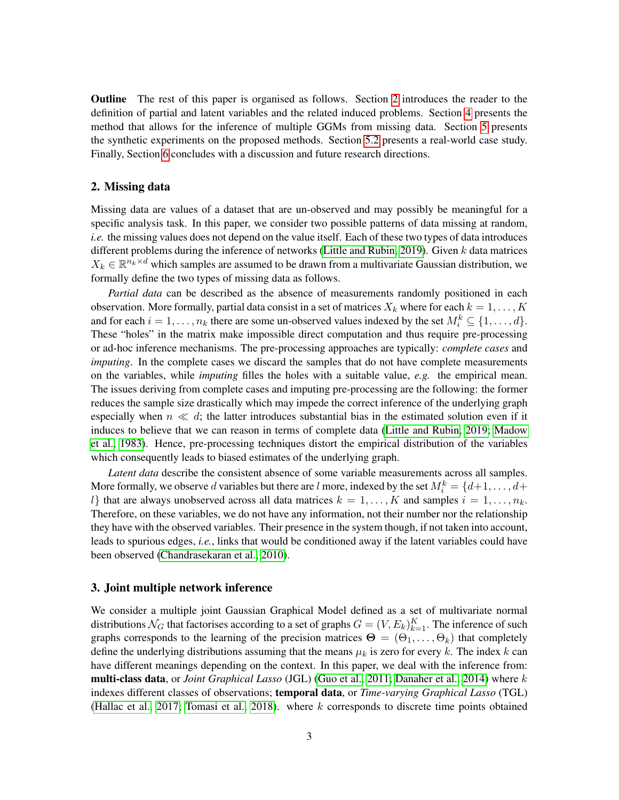Outline The rest of this paper is organised as follows. Section [2](#page-2-0) introduces the reader to the definition of partial and latent variables and the related induced problems. Section [4](#page-4-0) presents the method that allows for the inference of multiple GGMs from missing data. Section [5](#page-6-0) presents the synthetic experiments on the proposed methods. Section [5.2](#page-9-0) presents a real-world case study. Finally, Section [6](#page-9-1) concludes with a discussion and future research directions.

### <span id="page-2-0"></span>2. Missing data

Missing data are values of a dataset that are un-observed and may possibly be meaningful for a specific analysis task. In this paper, we consider two possible patterns of data missing at random, *i.e.* the missing values does not depend on the value itself. Each of these two types of data introduces different problems during the inference of networks [\(Little and Rubin, 2019\)](#page-11-0). Given  $k$  data matrices  $X_k \in \mathbb{R}^{n_k \times d}$  which samples are assumed to be drawn from a multivariate Gaussian distribution, we formally define the two types of missing data as follows.

*Partial data* can be described as the absence of measurements randomly positioned in each observation. More formally, partial data consist in a set of matrices  $X_k$  where for each  $k = 1, \ldots, K$ and for each  $i = 1, \ldots, n_k$  there are some un-observed values indexed by the set  $M_i^k \subseteq \{1, \ldots, d\}$ . These "holes" in the matrix make impossible direct computation and thus require pre-processing or ad-hoc inference mechanisms. The pre-processing approaches are typically: *complete cases* and *imputing*. In the complete cases we discard the samples that do not have complete measurements on the variables, while *imputing* filles the holes with a suitable value, *e.g.* the empirical mean. The issues deriving from complete cases and imputing pre-processing are the following: the former reduces the sample size drastically which may impede the correct inference of the underlying graph especially when  $n \ll d$ ; the latter introduces substantial bias in the estimated solution even if it induces to believe that we can reason in terms of complete data [\(Little and Rubin, 2019;](#page-11-0) [Madow](#page-11-12) [et al., 1983\)](#page-11-12). Hence, pre-processing techniques distort the empirical distribution of the variables which consequently leads to biased estimates of the underlying graph.

*Latent data* describe the consistent absence of some variable measurements across all samples. More formally, we observe d variables but there are l more, indexed by the set  $M_i^k = \{d+1, \ldots, d+1\}$ l} that are always unobserved across all data matrices  $k = 1, ..., K$  and samples  $i = 1, ..., n_k$ . Therefore, on these variables, we do not have any information, not their number nor the relationship they have with the observed variables. Their presence in the system though, if not taken into account, leads to spurious edges, *i.e.*, links that would be conditioned away if the latent variables could have been observed [\(Chandrasekaran et al., 2010\)](#page-10-1).

### 3. Joint multiple network inference

We consider a multiple joint Gaussian Graphical Model defined as a set of multivariate normal distributions  $\mathcal{N}_G$  that factorises according to a set of graphs  $G = (V, E_k)_{k=1}^K$ . The inference of such graphs corresponds to the learning of the precision matrices  $\Theta = (\Theta_1, \dots, \Theta_k)$  that completely define the underlying distributions assuming that the means  $\mu_k$  is zero for every k. The index k can have different meanings depending on the context. In this paper, we deal with the inference from: multi-class data, or *Joint Graphical Lasso* (JGL) [\(Guo et al., 2011;](#page-11-1) [Danaher et al., 2014\)](#page-10-0) where k indexes different classes of observations; temporal data, or *Time-varying Graphical Lasso* (TGL) [\(Hallac et al., 2017;](#page-11-3) [Tomasi et al., 2018\)](#page-11-4). where  $k$  corresponds to discrete time points obtained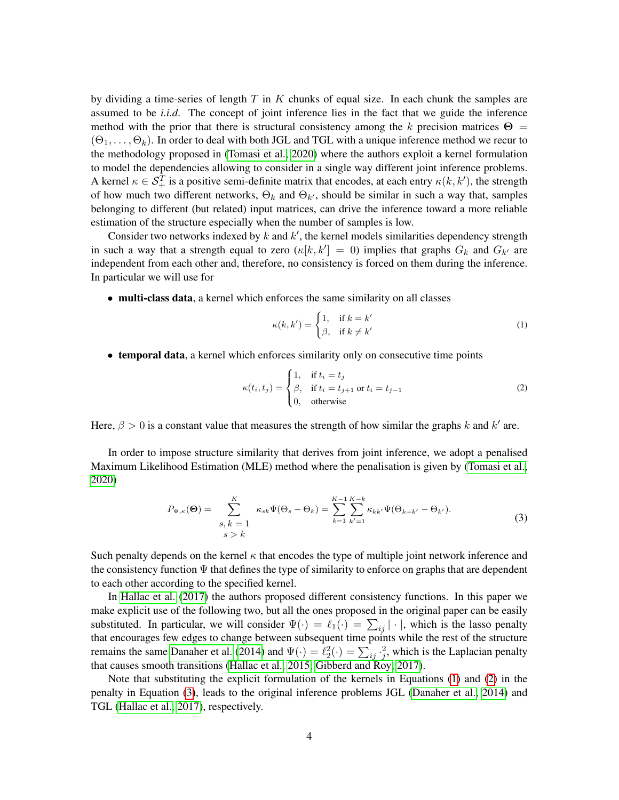by dividing a time-series of length  $T$  in  $K$  chunks of equal size. In each chunk the samples are assumed to be *i.i.d*. The concept of joint inference lies in the fact that we guide the inference method with the prior that there is structural consistency among the k precision matrices  $\Theta =$  $(\Theta_1, \ldots, \Theta_k)$ . In order to deal with both JGL and TGL with a unique inference method we recur to the methodology proposed in [\(Tomasi et al., 2020\)](#page-11-11) where the authors exploit a kernel formulation to model the dependencies allowing to consider in a single way different joint inference problems. A kernel  $\kappa \in S_+^T$  is a positive semi-definite matrix that encodes, at each entry  $\kappa(k, k')$ , the strength of how much two different networks,  $\Theta_k$  and  $\Theta_{k'}$ , should be similar in such a way that, samples belonging to different (but related) input matrices, can drive the inference toward a more reliable estimation of the structure especially when the number of samples is low.

Consider two networks indexed by  $k$  and  $k'$ , the kernel models similarities dependency strength in such a way that a strength equal to zero  $(\kappa[k, k']) = 0$  implies that graphs  $G_k$  and  $G_{k'}$  are independent from each other and, therefore, no consistency is forced on them during the inference. In particular we will use for

• multi-class data, a kernel which enforces the same similarity on all classes

<span id="page-3-0"></span>
$$
\kappa(k,k') = \begin{cases} 1, & \text{if } k = k' \\ \beta, & \text{if } k \neq k' \end{cases} \tag{1}
$$

• temporal data, a kernel which enforces similarity only on consecutive time points

<span id="page-3-2"></span><span id="page-3-1"></span>
$$
\kappa(t_i, t_j) = \begin{cases} 1, & \text{if } t_i = t_j \\ \beta, & \text{if } t_i = t_{j+1} \text{ or } t_i = t_{j-1} \\ 0, & \text{otherwise} \end{cases} \tag{2}
$$

Here,  $\beta > 0$  is a constant value that measures the strength of how similar the graphs k and k' are.

In order to impose structure similarity that derives from joint inference, we adopt a penalised Maximum Likelihood Estimation (MLE) method where the penalisation is given by [\(Tomasi et al.,](#page-11-11) [2020\)](#page-11-11)

$$
P_{\Psi,\kappa}(\Theta) = \sum_{\substack{s,\,k=1\\s>k}}^{K} \kappa_{sk} \Psi(\Theta_s - \Theta_k) = \sum_{k=1}^{K-1} \sum_{k'=1}^{K-k} \kappa_{kk'} \Psi(\Theta_{k+k'} - \Theta_{k'}).
$$
\n(3)

Such penalty depends on the kernel  $\kappa$  that encodes the type of multiple joint network inference and the consistency function  $\Psi$  that defines the type of similarity to enforce on graphs that are dependent to each other according to the specified kernel.

In [Hallac et al.](#page-11-3) [\(2017\)](#page-11-3) the authors proposed different consistency functions. In this paper we make explicit use of the following two, but all the ones proposed in the original paper can be easily substituted. In particular, we will consider  $\Psi(\cdot) = \ell_1(\cdot) = \sum_{ij} |\cdot|$ , which is the lasso penalty that encourages few edges to change between subsequent time points while the rest of the structure remains the same [Danaher et al.](#page-10-0) [\(2014\)](#page-10-0) and  $\Psi(\cdot) = \ell_2^2(\cdot) = \sum_{ij} \cdot \frac{2}{j}$ , which is the Laplacian penalty that causes smooth transitions [\(Hallac et al., 2015;](#page-11-13) [Gibberd and Roy, 2017\)](#page-11-14).

Note that substituting the explicit formulation of the kernels in Equations [\(1\)](#page-3-0) and [\(2\)](#page-3-1) in the penalty in Equation [\(3\)](#page-3-2), leads to the original inference problems JGL [\(Danaher et al., 2014\)](#page-10-0) and TGL [\(Hallac et al., 2017\)](#page-11-3), respectively.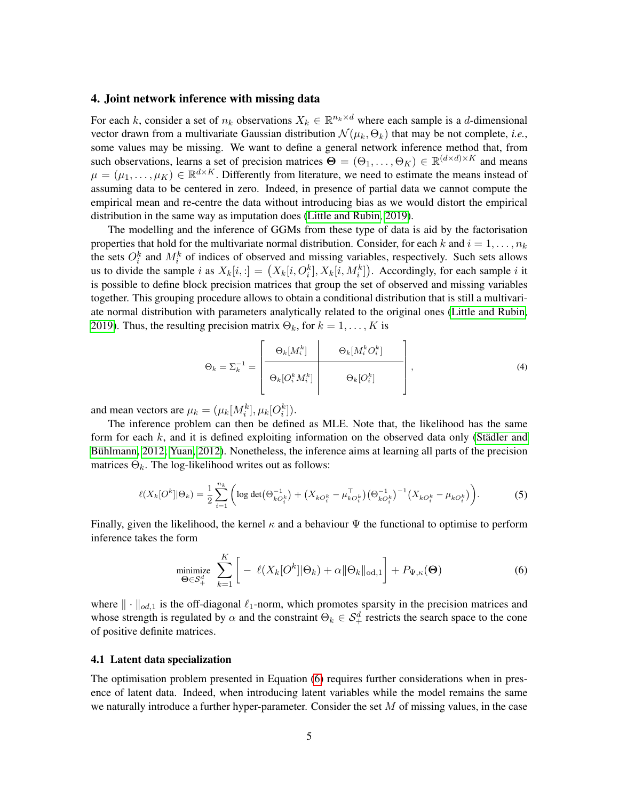### <span id="page-4-0"></span>4. Joint network inference with missing data

For each k, consider a set of  $n_k$  observations  $X_k \in \mathbb{R}^{n_k \times d}$  where each sample is a d-dimensional vector drawn from a multivariate Gaussian distribution  $\mathcal{N}(\mu_k, \Theta_k)$  that may be not complete, *i.e.*, some values may be missing. We want to define a general network inference method that, from such observations, learns a set of precision matrices  $\Theta = (\Theta_1, \dots, \Theta_K) \in \mathbb{R}^{(d \times d) \times K}$  and means  $\mu = (\mu_1, \dots, \mu_K) \in \mathbb{R}^{d \times K}$ . Differently from literature, we need to estimate the means instead of assuming data to be centered in zero. Indeed, in presence of partial data we cannot compute the empirical mean and re-centre the data without introducing bias as we would distort the empirical distribution in the same way as imputation does [\(Little and Rubin, 2019\)](#page-11-0).

The modelling and the inference of GGMs from these type of data is aid by the factorisation properties that hold for the multivariate normal distribution. Consider, for each k and  $i = 1, \ldots, n_k$ the sets  $O_i^k$  and  $M_i^k$  of indices of observed and missing variables, respectively. Such sets allows us to divide the sample i as  $X_k[i, :] = (X_k[i, O_i^k], X_k[i, M_i^k])$ . Accordingly, for each sample i it is possible to define block precision matrices that group the set of observed and missing variables together. This grouping procedure allows to obtain a conditional distribution that is still a multivariate normal distribution with parameters analytically related to the original ones [\(Little and Rubin,](#page-11-0) [2019\)](#page-11-0). Thus, the resulting precision matrix  $\Theta_k$ , for  $k = 1, \ldots, K$  is

<span id="page-4-2"></span>
$$
\Theta_k = \Sigma_k^{-1} = \begin{bmatrix} \Theta_k[M_i^k] & \Theta_k[M_i^kO_i^k] \\ \Theta_k[O_i^kM_i^k] & \Theta_k[O_i^k] \end{bmatrix},
$$
\n(4)

and mean vectors are  $\mu_k = (\mu_k[M_i^k], \mu_k[O_i^k])$ .

The inference problem can then be defined as MLE. Note that, the likelihood has the same form for each  $k$ , and it is defined exploiting information on the observed data only (Städler and Bühlmann, 2012; [Yuan, 2012\)](#page-11-10). Nonetheless, the inference aims at learning all parts of the precision matrices  $\Theta_k$ . The log-likelihood writes out as follows:

$$
\ell(X_k[O^k] | \Theta_k) = \frac{1}{2} \sum_{i=1}^{n_k} \left( \log \det(\Theta_{kO_i^k}^{-1}) + \left( X_{kO_i^k} - \mu_{kO_i^k}^{\top} \right) \left( \Theta_{kO_i^k}^{-1} \right)^{-1} \left( X_{kO_i^k} - \mu_{kO_i^k} \right) \right). \tag{5}
$$

Finally, given the likelihood, the kernel  $\kappa$  and a behaviour  $\Psi$  the functional to optimise to perform inference takes the form

<span id="page-4-1"></span>
$$
\underset{\Theta \in \mathcal{S}_{+}^{d}}{\text{minimize}} \sum_{k=1}^{K} \left[ -\ell(X_{k}[O^{k}]|\Theta_{k}) + \alpha \|\Theta_{k}\|_{\text{od},1} \right] + P_{\Psi,\kappa}(\Theta) \tag{6}
$$

where  $\|\cdot\|_{od,1}$  is the off-diagonal  $\ell_1$ -norm, which promotes sparsity in the precision matrices and whose strength is regulated by  $\alpha$  and the constraint  $\Theta_k \in S^d_+$  restricts the search space to the cone of positive definite matrices.

#### 4.1 Latent data specialization

The optimisation problem presented in Equation [\(6\)](#page-4-1) requires further considerations when in presence of latent data. Indeed, when introducing latent variables while the model remains the same we naturally introduce a further hyper-parameter. Consider the set  $M$  of missing values, in the case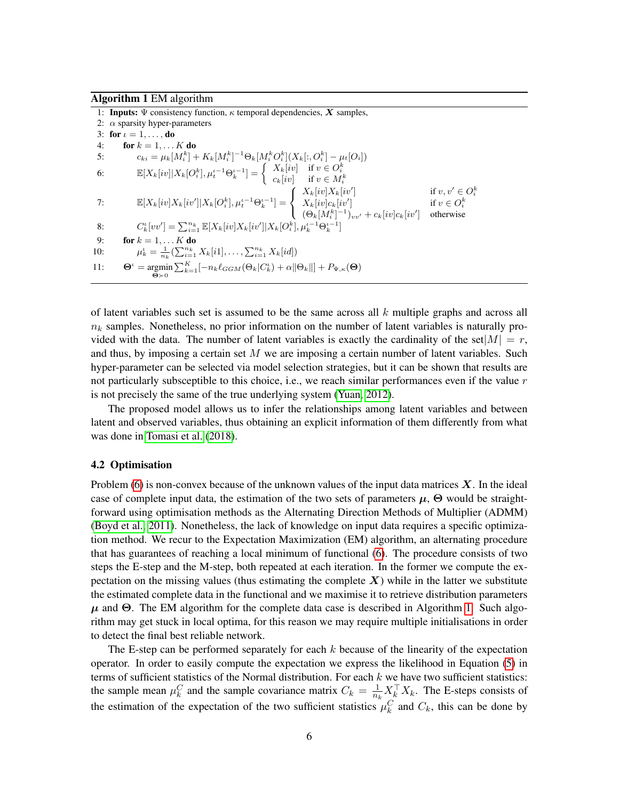<span id="page-5-0"></span>Algorithm 1 EM algorithm

|     | 1: <b>Inputs:</b> $\Psi$ consistency function, $\kappa$ temporal dependencies, X samples,                                                                                                                       |                                                       |
|-----|-----------------------------------------------------------------------------------------------------------------------------------------------------------------------------------------------------------------|-------------------------------------------------------|
|     | 2: $\alpha$ sparsity hyper-parameters                                                                                                                                                                           |                                                       |
|     | 3: for $\iota = 1, \ldots,$ do                                                                                                                                                                                  |                                                       |
| 4:  | for $k = 1, \ldots K$ do                                                                                                                                                                                        |                                                       |
| 5:  | $c_{ki} = \mu_k[M_i^k] + K_k[M_i^k]^{-1} \Theta_k[M_i^k O_i^k](X_k[:, O_i^k]) - \mu_t[O_i])$                                                                                                                    |                                                       |
| 6:  | $\mathbb{E}[X_k[v]]X_k[O_i^k], \mu_t^{\iota-1}\Theta_k^{\iota-1}] = \begin{cases} X_k[iv] & \text{if } v \in O_i^k \\ c_k[iv] & \text{if } v \in M_i^k \end{cases}$                                             |                                                       |
| 7:  | $\mathbb{E}[X_k[iv]X_k[iv'] X_k[O_i^k],\mu_t^{\iota-1}\Theta_k^{\iota-1}] = \left\{ \begin{array}{l} X_k[iv]X_k[iv'] \ X_k[iv]_{C_k}[iv'] \ (\Theta_k[M_i^k]^{-1})_{vv'} + c_k[iv]c_k[iv'] \end{array} \right.$ | if $v, v' \in O_i^k$<br>if $v \in O_i^k$<br>otherwise |
| 8:  | $C_k^{\iota}[vv'] = \sum_{i=1}^{n_k} \mathbb{E}[X_k[iv]X_k[iv'] X_k[O_i^k], \mu_k^{\iota-1}\Theta_k^{\iota-1}]$                                                                                                 |                                                       |
| 9:  | for $k = 1, \ldots K$ do                                                                                                                                                                                        |                                                       |
| 10: | $\mu_k^{\iota} = \frac{1}{n_k} \left( \sum_{i=1}^{n_k} X_k[i1], \ldots, \sum_{i=1}^{n_k} X_k[i] \right)$                                                                                                        |                                                       |
| 11: | $\Theta^{\iota} = \operatorname{argmin} \sum_{k=1}^{K} [-n_k \ell_{GGM}(\Theta_k C_k^{\iota}) + \alpha   \Theta_k  ] + P_{\Psi,\kappa}(\Theta)$<br>$\Theta \succ 0$                                             |                                                       |

of latent variables such set is assumed to be the same across all  $k$  multiple graphs and across all  $n_k$  samples. Nonetheless, no prior information on the number of latent variables is naturally provided with the data. The number of latent variables is exactly the cardinality of the set $|M| = r$ , and thus, by imposing a certain set  $M$  we are imposing a certain number of latent variables. Such hyper-parameter can be selected via model selection strategies, but it can be shown that results are not particularly subsceptible to this choice, i.e., we reach similar performances even if the value  $r$ is not precisely the same of the true underlying system [\(Yuan, 2012\)](#page-11-10).

The proposed model allows us to infer the relationships among latent variables and between latent and observed variables, thus obtaining an explicit information of them differently from what was done in [Tomasi et al.](#page-11-4) [\(2018\)](#page-11-4).

#### 4.2 Optimisation

Problem [\(6\)](#page-4-1) is non-convex because of the unknown values of the input data matrices  $X$ . In the ideal case of complete input data, the estimation of the two sets of parameters  $\mu$ , Θ would be straightforward using optimisation methods as the Alternating Direction Methods of Multiplier (ADMM) [\(Boyd et al., 2011\)](#page-10-5). Nonetheless, the lack of knowledge on input data requires a specific optimization method. We recur to the Expectation Maximization (EM) algorithm, an alternating procedure that has guarantees of reaching a local minimum of functional [\(6\)](#page-4-1). The procedure consists of two steps the E-step and the M-step, both repeated at each iteration. In the former we compute the expectation on the missing values (thus estimating the complete  $X$ ) while in the latter we substitute the estimated complete data in the functional and we maximise it to retrieve distribution parameters  $\mu$  and  $\Theta$ . The EM algorithm for the complete data case is described in Algorithm [1.](#page-5-0) Such algorithm may get stuck in local optima, for this reason we may require multiple initialisations in order to detect the final best reliable network.

The E-step can be performed separately for each  $k$  because of the linearity of the expectation operator. In order to easily compute the expectation we express the likelihood in Equation [\(5\)](#page-4-2) in terms of sufficient statistics of the Normal distribution. For each  $k$  we have two sufficient statistics: the sample mean  $\mu_k^C$  and the sample covariance matrix  $C_k = \frac{1}{n_l}$  $\frac{1}{n_k} X_k^\top X_k$ . The E-steps consists of the estimation of the expectation of the two sufficient statistics  $\mu_k^C$  and  $C_k$ , this can be done by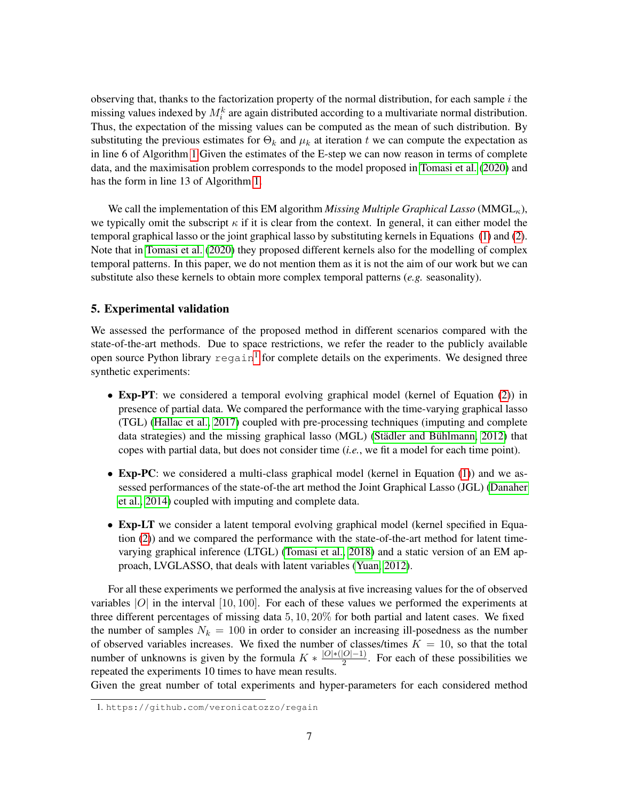observing that, thanks to the factorization property of the normal distribution, for each sample  $i$  the missing values indexed by  $M_i^k$  are again distributed according to a multivariate normal distribution. Thus, the expectation of the missing values can be computed as the mean of such distribution. By substituting the previous estimates for  $\Theta_k$  and  $\mu_k$  at iteration t we can compute the expectation as in line 6 of Algorithm [1](#page-5-0) Given the estimates of the E-step we can now reason in terms of complete data, and the maximisation problem corresponds to the model proposed in [Tomasi et al.](#page-11-11) [\(2020\)](#page-11-11) and has the form in line 13 of Algorithm [1.](#page-5-0)

We call the implementation of this EM algorithm *Missing Multiple Graphical Lasso* (MMGL<sub>K</sub>), we typically omit the subscript  $\kappa$  if it is clear from the context. In general, it can either model the temporal graphical lasso or the joint graphical lasso by substituting kernels in Equations [\(1\)](#page-3-0) and [\(2\)](#page-3-1). Note that in [Tomasi et al.](#page-11-11) [\(2020\)](#page-11-11) they proposed different kernels also for the modelling of complex temporal patterns. In this paper, we do not mention them as it is not the aim of our work but we can substitute also these kernels to obtain more complex temporal patterns (*e.g.* seasonality).

### <span id="page-6-0"></span>5. Experimental validation

We assessed the performance of the proposed method in different scenarios compared with the state-of-the-art methods. Due to space restrictions, we refer the reader to the publicly available open source Python library  $r = g \sinh^{-1} f$  $r = g \sinh^{-1} f$  $r = g \sinh^{-1} f$  for complete details on the experiments. We designed three synthetic experiments:

- Exp-PT: we considered a temporal evolving graphical model (kernel of Equation [\(2\)](#page-3-1)) in presence of partial data. We compared the performance with the time-varying graphical lasso (TGL) [\(Hallac et al., 2017\)](#page-11-3) coupled with pre-processing techniques (imputing and complete data strategies) and the missing graphical lasso (MGL) (Städler and Bühlmann,  $2012$ ) that copes with partial data, but does not consider time (*i.e.*, we fit a model for each time point).
- Exp-PC: we considered a multi-class graphical model (kernel in Equation [\(1\)](#page-3-0)) and we assessed performances of the state-of-the art method the Joint Graphical Lasso (JGL) [\(Danaher](#page-10-0) [et al., 2014\)](#page-10-0) coupled with imputing and complete data.
- Exp-LT we consider a latent temporal evolving graphical model (kernel specified in Equa $t$  tion  $(2)$ ) and we compared the performance with the state-of-the-art method for latent timevarying graphical inference (LTGL) [\(Tomasi et al., 2018\)](#page-11-4) and a static version of an EM approach, LVGLASSO, that deals with latent variables [\(Yuan, 2012\)](#page-11-10).

For all these experiments we performed the analysis at five increasing values for the of observed variables  $|O|$  in the interval  $[10, 100]$ . For each of these values we performed the experiments at three different percentages of missing data 5, 10, 20% for both partial and latent cases. We fixed the number of samples  $N_k = 100$  in order to consider an increasing ill-posedness as the number of observed variables increases. We fixed the number of classes/times  $K = 10$ , so that the total number of unknowns is given by the formula  $K * \frac{|O|*(|O|-1)}{2}$  $\frac{|O|-1}{2}$ . For each of these possibilities we repeated the experiments 10 times to have mean results.

Given the great number of total experiments and hyper-parameters for each considered method

<span id="page-6-1"></span><sup>1.</sup> https://github.com/veronicatozzo/regain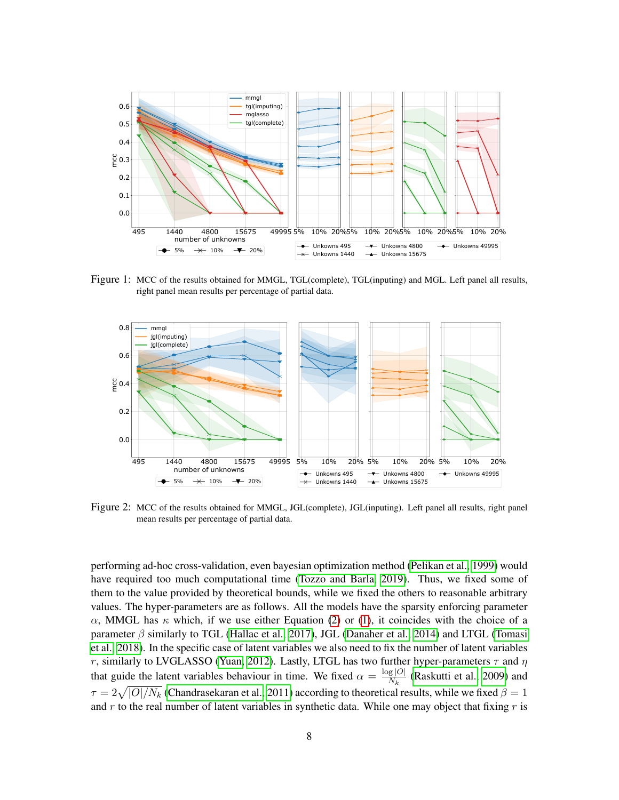

<span id="page-7-0"></span>Figure 1: MCC of the results obtained for MMGL, TGL(complete), TGL(inputing) and MGL. Left panel all results, right panel mean results per percentage of partial data.



<span id="page-7-1"></span>Figure 2: MCC of the results obtained for MMGL, JGL(complete), JGL(inputing). Left panel all results, right panel mean results per percentage of partial data.

performing ad-hoc cross-validation, even bayesian optimization method [\(Pelikan et al., 1999\)](#page-11-15) would have required too much computational time [\(Tozzo and Barla, 2019\)](#page-11-16). Thus, we fixed some of them to the value provided by theoretical bounds, while we fixed the others to reasonable arbitrary values. The hyper-parameters are as follows. All the models have the sparsity enforcing parameter  $\alpha$ , MMGL has  $\kappa$  which, if we use either Equation [\(2\)](#page-3-1) or [\(1\)](#page-3-0), it coincides with the choice of a parameter  $\beta$  similarly to TGL [\(Hallac et al., 2017\)](#page-11-3), JGL [\(Danaher et al., 2014\)](#page-10-0) and LTGL [\(Tomasi](#page-11-4) [et al., 2018\)](#page-11-4). In the specific case of latent variables we also need to fix the number of latent variables r, similarly to LVGLASSO [\(Yuan, 2012\)](#page-11-10). Lastly, LTGL has two further hyper-parameters  $\tau$  and  $\eta$ that guide the latent variables behaviour in time. We fixed  $\alpha = \frac{\log |O|}{N}$  $\frac{g|O|}{N_k}$  [\(Raskutti et al., 2009\)](#page-11-17) and  $\tau=2\sqrt{|O|/N_k}$  [\(Chandrasekaran et al., 2011\)](#page-10-2) according to theoretical results, while we fixed  $\beta=1$ and  $r$  to the real number of latent variables in synthetic data. While one may object that fixing  $r$  is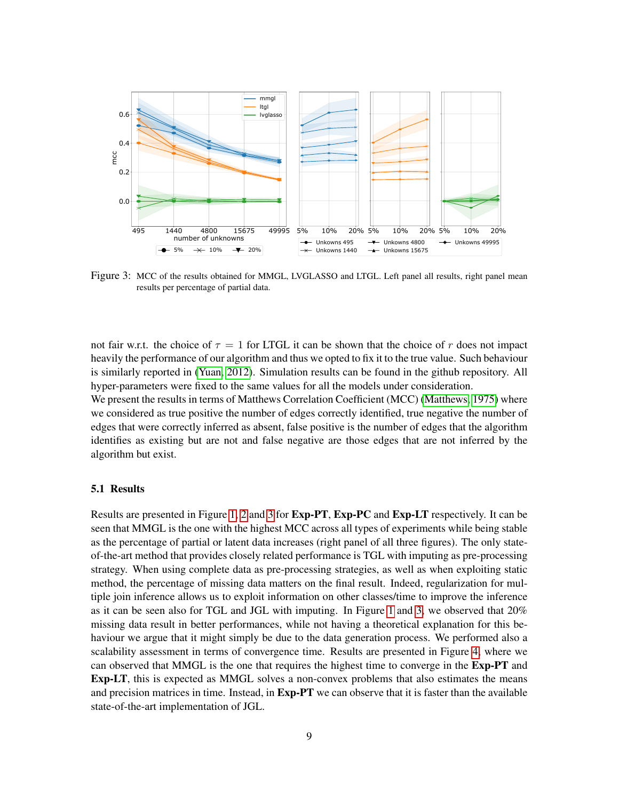

<span id="page-8-0"></span>Figure 3: MCC of the results obtained for MMGL, LVGLASSO and LTGL. Left panel all results, right panel mean results per percentage of partial data.

not fair w.r.t. the choice of  $\tau = 1$  for LTGL it can be shown that the choice of r does not impact heavily the performance of our algorithm and thus we opted to fix it to the true value. Such behaviour is similarly reported in [\(Yuan, 2012\)](#page-11-10). Simulation results can be found in the github repository. All hyper-parameters were fixed to the same values for all the models under consideration.

We present the results in terms of Matthews Correlation Coefficient (MCC) [\(Matthews, 1975\)](#page-11-18) where we considered as true positive the number of edges correctly identified, true negative the number of edges that were correctly inferred as absent, false positive is the number of edges that the algorithm identifies as existing but are not and false negative are those edges that are not inferred by the algorithm but exist.

# 5.1 Results

Results are presented in Figure [1,](#page-7-0) [2](#page-7-1) and [3](#page-8-0) for Exp-PT, Exp-PC and Exp-LT respectively. It can be seen that MMGL is the one with the highest MCC across all types of experiments while being stable as the percentage of partial or latent data increases (right panel of all three figures). The only stateof-the-art method that provides closely related performance is TGL with imputing as pre-processing strategy. When using complete data as pre-processing strategies, as well as when exploiting static method, the percentage of missing data matters on the final result. Indeed, regularization for multiple join inference allows us to exploit information on other classes/time to improve the inference as it can be seen also for TGL and JGL with imputing. In Figure [1](#page-7-0) and [3,](#page-8-0) we observed that 20% missing data result in better performances, while not having a theoretical explanation for this behaviour we argue that it might simply be due to the data generation process. We performed also a scalability assessment in terms of convergence time. Results are presented in Figure [4,](#page-9-2) where we can observed that MMGL is the one that requires the highest time to converge in the Exp-PT and Exp-LT, this is expected as MMGL solves a non-convex problems that also estimates the means and precision matrices in time. Instead, in **Exp-PT** we can observe that it is faster than the available state-of-the-art implementation of JGL.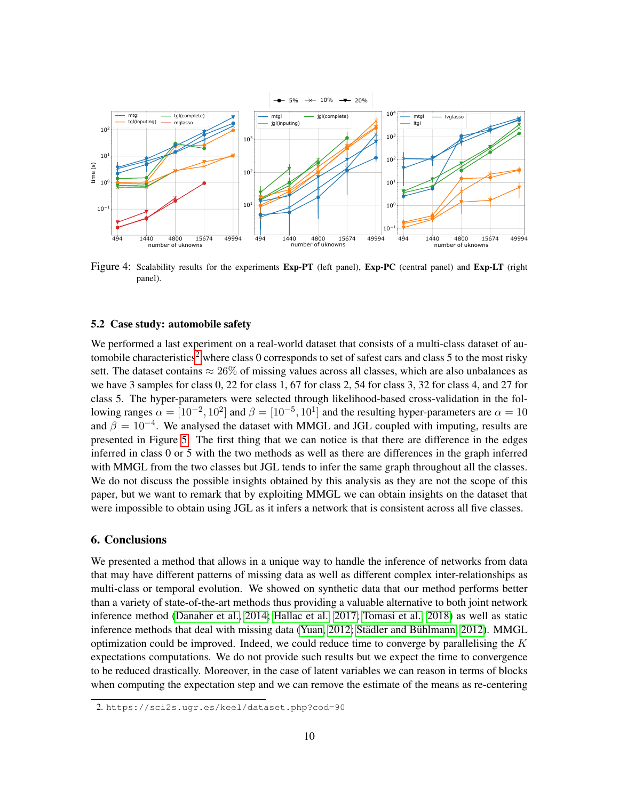

<span id="page-9-2"></span>Figure 4: Scalability results for the experiments Exp-PT (left panel), Exp-PC (central panel) and Exp-LT (right panel).

### <span id="page-9-0"></span>5.2 Case study: automobile safety

We performed a last experiment on a real-world dataset that consists of a multi-class dataset of au-tomobile characteristics<sup>[2](#page-9-3)</sup> where class 0 corresponds to set of safest cars and class 5 to the most risky sett. The dataset contains  $\approx 26\%$  of missing values across all classes, which are also unbalances as we have 3 samples for class 0, 22 for class 1, 67 for class 2, 54 for class 3, 32 for class 4, and 27 for class 5. The hyper-parameters were selected through likelihood-based cross-validation in the following ranges  $\alpha = [10^{-2}, 10^2]$  and  $\beta = [10^{-5}, 10^1]$  and the resulting hyper-parameters are  $\alpha = 10$ and  $\beta = 10^{-4}$ . We analysed the dataset with MMGL and JGL coupled with imputing, results are presented in Figure [5.](#page-10-6) The first thing that we can notice is that there are difference in the edges inferred in class 0 or 5 with the two methods as well as there are differences in the graph inferred with MMGL from the two classes but JGL tends to infer the same graph throughout all the classes. We do not discuss the possible insights obtained by this analysis as they are not the scope of this paper, but we want to remark that by exploiting MMGL we can obtain insights on the dataset that were impossible to obtain using JGL as it infers a network that is consistent across all five classes.

# <span id="page-9-1"></span>6. Conclusions

We presented a method that allows in a unique way to handle the inference of networks from data that may have different patterns of missing data as well as different complex inter-relationships as multi-class or temporal evolution. We showed on synthetic data that our method performs better than a variety of state-of-the-art methods thus providing a valuable alternative to both joint network inference method [\(Danaher et al., 2014;](#page-10-0) [Hallac et al., 2017;](#page-11-3) [Tomasi et al., 2018\)](#page-11-4) as well as static inference methods that deal with missing data [\(Yuan, 2012;](#page-11-10) Städler and Bühlmann, [2012\)](#page-11-9). MMGL optimization could be improved. Indeed, we could reduce time to converge by parallelising the  $K$ expectations computations. We do not provide such results but we expect the time to convergence to be reduced drastically. Moreover, in the case of latent variables we can reason in terms of blocks when computing the expectation step and we can remove the estimate of the means as re-centering

<span id="page-9-3"></span><sup>2.</sup> https://sci2s.ugr.es/keel/dataset.php?cod=90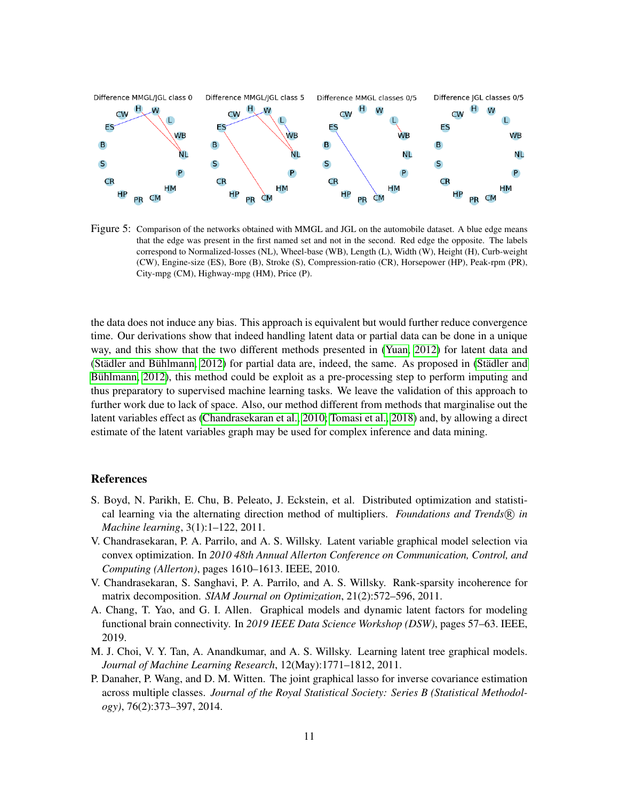

<span id="page-10-6"></span>Figure 5: Comparison of the networks obtained with MMGL and JGL on the automobile dataset. A blue edge means that the edge was present in the first named set and not in the second. Red edge the opposite. The labels correspond to Normalized-losses (NL), Wheel-base (WB), Length (L), Width (W), Height (H), Curb-weight (CW), Engine-size (ES), Bore (B), Stroke (S), Compression-ratio (CR), Horsepower (HP), Peak-rpm (PR), City-mpg (CM), Highway-mpg (HM), Price (P).

the data does not induce any bias. This approach is equivalent but would further reduce convergence time. Our derivations show that indeed handling latent data or partial data can be done in a unique way, and this show that the two different methods presented in [\(Yuan, 2012\)](#page-11-10) for latent data and (Städler and Bühlmann, [2012\)](#page-11-9) for partial data are, indeed, the same. As proposed in (Städler and Bühlmann, 2012), this method could be exploit as a pre-processing step to perform imputing and thus preparatory to supervised machine learning tasks. We leave the validation of this approach to further work due to lack of space. Also, our method different from methods that marginalise out the latent variables effect as [\(Chandrasekaran et al., 2010;](#page-10-1) [Tomasi et al., 2018\)](#page-11-4) and, by allowing a direct estimate of the latent variables graph may be used for complex inference and data mining.

# References

- <span id="page-10-5"></span>S. Boyd, N. Parikh, E. Chu, B. Peleato, J. Eckstein, et al. Distributed optimization and statistical learning via the alternating direction method of multipliers. *Foundations and Trends* R *in Machine learning*, 3(1):1–122, 2011.
- <span id="page-10-1"></span>V. Chandrasekaran, P. A. Parrilo, and A. S. Willsky. Latent variable graphical model selection via convex optimization. In *2010 48th Annual Allerton Conference on Communication, Control, and Computing (Allerton)*, pages 1610–1613. IEEE, 2010.
- <span id="page-10-2"></span>V. Chandrasekaran, S. Sanghavi, P. A. Parrilo, and A. S. Willsky. Rank-sparsity incoherence for matrix decomposition. *SIAM Journal on Optimization*, 21(2):572–596, 2011.
- <span id="page-10-4"></span>A. Chang, T. Yao, and G. I. Allen. Graphical models and dynamic latent factors for modeling functional brain connectivity. In *2019 IEEE Data Science Workshop (DSW)*, pages 57–63. IEEE, 2019.
- <span id="page-10-3"></span>M. J. Choi, V. Y. Tan, A. Anandkumar, and A. S. Willsky. Learning latent tree graphical models. *Journal of Machine Learning Research*, 12(May):1771–1812, 2011.
- <span id="page-10-0"></span>P. Danaher, P. Wang, and D. M. Witten. The joint graphical lasso for inverse covariance estimation across multiple classes. *Journal of the Royal Statistical Society: Series B (Statistical Methodology)*, 76(2):373–397, 2014.